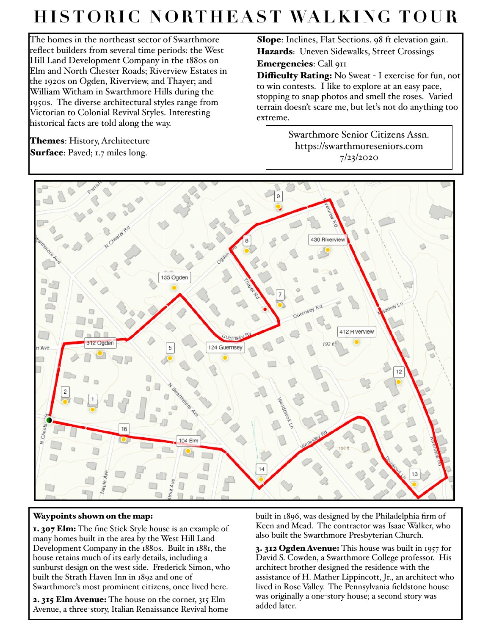## **HISTORIC NORTHEAST WALKING TOUR**

extreme.

The homes in the northeast sector of Swarthmore reflect builders from several time periods: the West Hill Land Development Company in the 1880s on Elm and North Chester Roads; Riverview Estates in the 1920s on Ogden, Riverview, and Thayer; and William Witham in Swarthmore Hills during the 1950s. The diverse architectural styles range from Victorian to Colonial Revival Styles. Interesting historical facts are told along the way.

**Themes**: History, Architecture Surface: Paved; 1.7 miles long.

Slope: Inclines, Flat Sections. 98 ft elevation gain. Hazards: Uneven Sidewalks, Street Crossings Emergencies: Call 911

Difficulty Rating: No Sweat - I exercise for fun, not to win contests. I like to explore at an easy pace, stopping to snap photos and smell the roses. Varied terrain doesn't scare me, but let's not do anything too

> Swarthmore Senior Citizens Assn. https://swarthmoreseniors.com 7/23/2020



## Waypoints shown on the map:

1. 307 Elm: The fine Stick Style house is an example of many homes built in the area by the West Hill Land Development Company in the 1880s. Built in 1881, the house retains much of its early details, including a sunburst design on the west side. Frederick Simon, who built the Strath Haven Inn in 1892 and one of Swarthmore's most prominent citizens, once lived here.

2. 315 Elm Avenue: The house on the corner, 315 Elm Avenue, a three-story, Italian Renaissance Revival home built in 1896, was designed by the Philadelphia firm of Keen and Mead. The contractor was Isaac Walker, who also built the Swarthmore Presbyterian Church.

3. 312 Ogden Avenue: This house was built in 1957 for David S. Cowden, a Swarthmore College professor. His architect brother designed the residence with the assistance of H. Mather Lippincott, Jr., an architect who lived in Rose Valley. The Pennsylvania fieldstone house was originally a one-story house; a second story was added later.